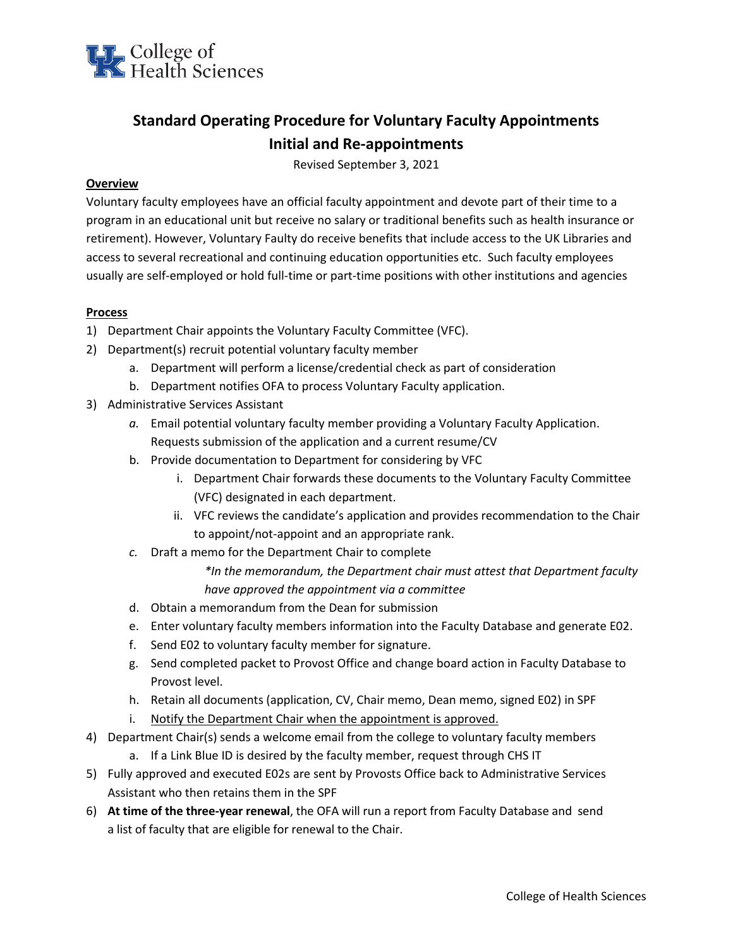

## **Standard Operating Procedure for Voluntary Faculty Appointments Initial and Re-appointments**

Revised September 3, 2021

## **Overview**

Voluntary faculty employees have an official faculty appointment and devote part of their time to a program in an educational unit but receive no salary or traditional benefits such as health insurance or retirement). However, Voluntary Faulty do receive benefits that include access to the UK Libraries and access to several recreational and continuing education opportunities etc. Such faculty employees usually are self-employed or hold full-time or part-time positions with other institutions and agencies

## **Process**

- 1) Department Chair appoints the Voluntary Faculty Committee (VFC).
- 2) Department(s) recruit potential voluntary faculty member
	- a. Department will perform a license/credential check as part of consideration
	- b. Department notifies OFA to process Voluntary Faculty application.
- 3) Administrative Services Assistant
	- *a.* Email potential voluntary faculty member providing a Voluntary Faculty Application. Requests submission of the application and a current resume/CV
	- b. Provide documentation to Department for considering by VFC
		- i. Department Chair forwards these documents to the Voluntary Faculty Committee (VFC) designated in each department.
		- ii. VFC reviews the candidate's application and provides recommendation to the Chair to appoint/not-appoint and an appropriate rank.
	- *c.* Draft a memo for the Department Chair to complete

*\*In the memorandum, the Department chair must attest that Department faculty have approved the appointment via a committee*

- d. Obtain a memorandum from the Dean for submission
- e. Enter voluntary faculty members information into the Faculty Database and generate E02.
- f. Send E02 to voluntary faculty member for signature.
- g. Send completed packet to Provost Office and change board action in Faculty Database to Provost level.
- h. Retain all documents (application, CV, Chair memo, Dean memo, signed E02) in SPF
- i. Notify the Department Chair when the appointment is approved.
- 4) Department Chair(s) sends a welcome email from the college to voluntary faculty members
	- a. If a Link Blue ID is desired by the faculty member, request through CHS IT
- 5) Fully approved and executed E02s are sent by Provosts Office back to Administrative Services Assistant who then retains them in the SPF
- 6) **At time of the three-year renewal**, the OFA will run a report from Faculty Database and send a list of faculty that are eligible for renewal to the Chair.